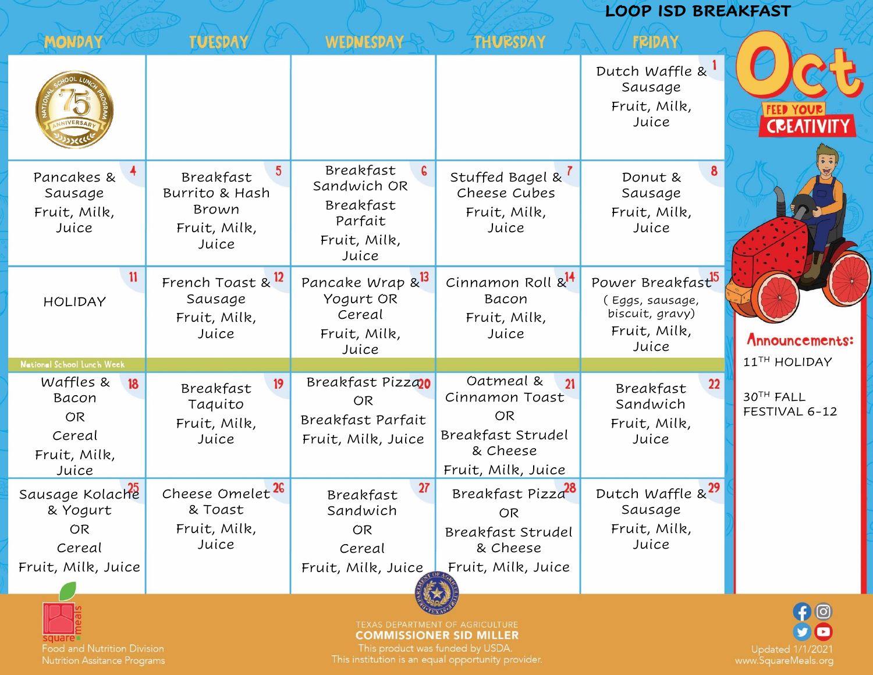|                                                                          |                                                                                  |                                                                                         |                                                                                                       |                                                                                              | <b>LOOP ISD BREAKFAST</b>       |  |
|--------------------------------------------------------------------------|----------------------------------------------------------------------------------|-----------------------------------------------------------------------------------------|-------------------------------------------------------------------------------------------------------|----------------------------------------------------------------------------------------------|---------------------------------|--|
| <b>MONDAY</b>                                                            | <b>TUESDAY</b>                                                                   | WEDNESDAY                                                                               | <b>THURSDAY</b>                                                                                       | <b>FRIDAY</b>                                                                                |                                 |  |
|                                                                          |                                                                                  |                                                                                         |                                                                                                       | Dutch Waffle &<br>Sausage<br>Fruit, Milk,<br>Juice                                           |                                 |  |
| Pancakes &<br>Sausage<br>Fruit, Milk,<br>Juice                           | $5\phantom{.0}$<br>Breakfast<br>Burrito & Hash<br>Brown<br>Fruit, Milk,<br>Juice | Breakfast<br>$\epsilon$<br>Sandwich OR<br>Breakfast<br>Parfait<br>Fruit, Milk,<br>Juice | Stuffed Bagel & <sup>1</sup><br>Cheese Cubes<br>Fruit, Milk,<br>Juice                                 | Donut &<br>Sausage<br>Fruit, Milk,<br>Juice                                                  |                                 |  |
| 11<br><b>HOLIDAY</b>                                                     | French Toast & <sup>12</sup><br>Sausage<br>Fruit, Milk,<br>Juice                 | Pancake Wrap & <sup>13</sup><br>Yogurt OR<br>Cereal<br>Fruit, Milk,<br>Juice            | Cinnamon Roll & <sup>14</sup><br>Bacon<br>Fruit, Milk,<br>Juice                                       | Power Breakfast <sup>15</sup><br>(Eggs, sausage,<br>biscuit, gravy)<br>Fruit, Milk,<br>Juice | Announcements:                  |  |
| National School Lunch Week                                               |                                                                                  |                                                                                         |                                                                                                       |                                                                                              | 11TH HOLIDAY                    |  |
| Waffles &<br>18<br>Bacon<br><b>OR</b><br>Cereal<br>Fruit, Milk,<br>Juice | 19<br>Breakfast<br>Taquito<br>Fruit, Milk,<br>Juice                              | Breakfast Pizzao<br><b>OR</b><br>Breakfast Parfait<br>Fruit, Milk, Juice                | Oatmeal &<br>21<br>Cinnamon Toast<br><b>OR</b><br>Breakfast Strudel<br>& Cheese<br>Fruit, Milk, Juice | 22<br>Breakfast<br>Sandwich<br>Fruit, Milk,<br>Juice                                         | 30TH FALL<br>FESTIVAL 6-12      |  |
| Sausage Kolache                                                          | Cheese Omelet <sup>26</sup>                                                      | 27<br><b>Breakfast</b>                                                                  | Breakfast Pizza <sup>28</sup>                                                                         | Dutch Waffle & <sup>29</sup>                                                                 |                                 |  |
| & Yogurt                                                                 | & Toast                                                                          | Sandwich                                                                                | <b>OR</b>                                                                                             | Sausage                                                                                      |                                 |  |
| <b>OR</b><br>Cereal                                                      | Fruit, Milk,<br>Juice                                                            | OR<br>Cereal                                                                            | Breakfast Strudel<br>& Cheese                                                                         | Fruit, Milk,<br>Juice                                                                        |                                 |  |
| Fruit, Milk, Juice                                                       |                                                                                  |                                                                                         | Fruit, Milk, Juice Fruit, Milk, Juice                                                                 |                                                                                              |                                 |  |
| <b>Food and Nutrition Division</b>                                       |                                                                                  | This product was funded by USDA.<br>institution is an equal opportun                    | TEXAS DEPARTMENT OF AGRICULTURE<br><b>COMMISSIONER SID MILLER</b>                                     |                                                                                              | $\bigoplus$<br>Updated 1/1/2021 |  |